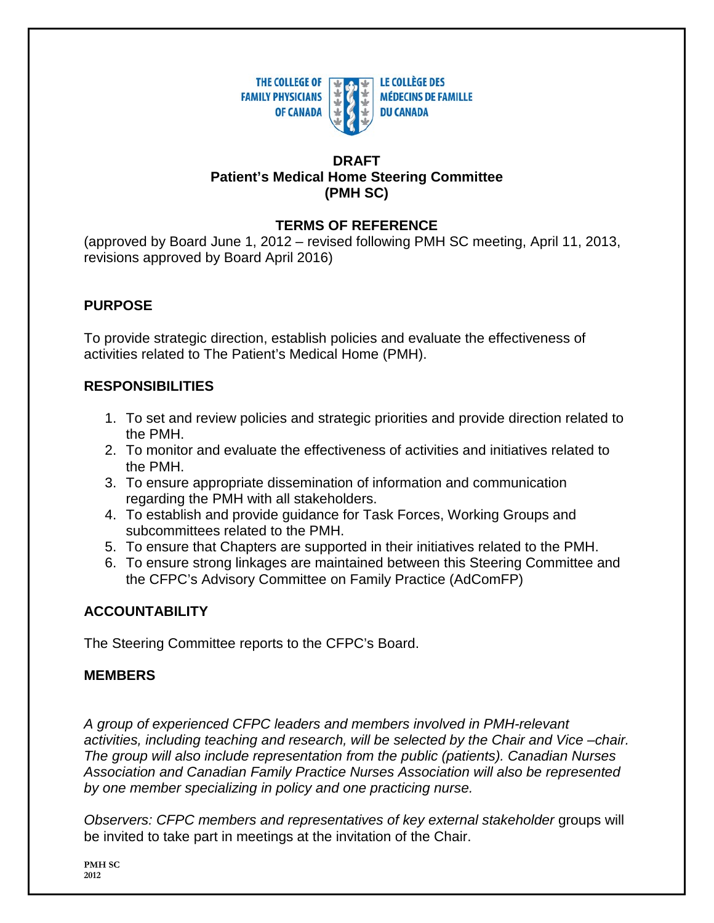

# **DRAFT Patient's Medical Home Steering Committee (PMH SC)**

# **TERMS OF REFERENCE**

(approved by Board June 1, 2012 – revised following PMH SC meeting, April 11, 2013, revisions approved by Board April 2016)

## **PURPOSE**

To provide strategic direction, establish policies and evaluate the effectiveness of activities related to The Patient's Medical Home (PMH).

## **RESPONSIBILITIES**

- 1. To set and review policies and strategic priorities and provide direction related to the PMH.
- 2. To monitor and evaluate the effectiveness of activities and initiatives related to the PMH.
- 3. To ensure appropriate dissemination of information and communication regarding the PMH with all stakeholders.
- 4. To establish and provide guidance for Task Forces, Working Groups and subcommittees related to the PMH.
- 5. To ensure that Chapters are supported in their initiatives related to the PMH.
- 6. To ensure strong linkages are maintained between this Steering Committee and the CFPC's Advisory Committee on Family Practice (AdComFP)

# **ACCOUNTABILITY**

The Steering Committee reports to the CFPC's Board.

### **MEMBERS**

*A group of experienced CFPC leaders and members involved in PMH-relevant activities, including teaching and research, will be selected by the Chair and Vice –chair. The group will also include representation from the public (patients). Canadian Nurses Association and Canadian Family Practice Nurses Association will also be represented by one member specializing in policy and one practicing nurse.*

*Observers: CFPC members and representatives of key external stakeholder* groups will be invited to take part in meetings at the invitation of the Chair.

**PMH SC 2012**